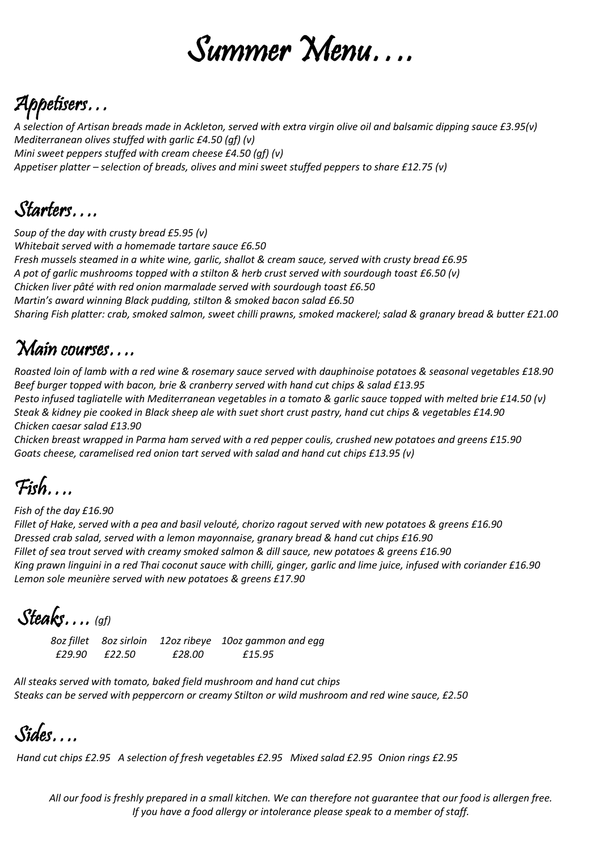# Summer Menu….

## Appetisers…

*A selection of Artisan breads made in Ackleton, served with extra virgin olive oil and balsamic dipping sauce £3.95(v) Mediterranean olives stuffed with garlic £4.50 (gf) (v) Mini sweet peppers stuffed with cream cheese £4.50 (gf) (v) Appetiser platter – selection of breads, olives and mini sweet stuffed peppers to share £12.75 (v)* 

### Starters….

*Soup of the day with crusty bread £5.95 (v) Whitebait served with a homemade tartare sauce £6.50 Fresh mussels steamed in a white wine, garlic, shallot & cream sauce, served with crusty bread £6.95 A pot of garlic mushrooms topped with a stilton & herb crust served with sourdough toast £6.50 (v) Chicken liver pâté with red onion marmalade served with sourdough toast £6.50 Martin's award winning Black pudding, stilton & smoked bacon salad £6.50 Sharing Fish platter: crab, smoked salmon, sweet chilli prawns, smoked mackerel; salad & granary bread & butter £21.00*

#### Main courses….

*Roasted loin of lamb with a red wine & rosemary sauce served with dauphinoise potatoes & seasonal vegetables £18.90 Beef burger topped with bacon, brie & cranberry served with hand cut chips & salad £13.95 Pesto infused tagliatelle with Mediterranean vegetables in a tomato & garlic sauce topped with melted brie £14.50 (v) Steak & kidney pie cooked in Black sheep ale with suet short crust pastry, hand cut chips & vegetables £14.90 Chicken caesar salad £13.90*

*Chicken breast wrapped in Parma ham served with a red pepper coulis, crushed new potatoes and greens £15.90 Goats cheese, caramelised red onion tart served with salad and hand cut chips £13.95 (v)*

### Fish….

*Fish of the day £16.90*

*Fillet of Hake, served with a pea and basil velouté, chorizo ragout served with new potatoes & greens £16.90 Dressed crab salad, served with a lemon mayonnaise, granary bread & hand cut chips £16.90 Fillet of sea trout served with creamy smoked salmon & dill sauce, new potatoes & greens £16.90 King prawn linguini in a red Thai coconut sauce with chilli, ginger, garlic and lime juice, infused with coriander £16.90 Lemon sole meunière served with new potatoes & greens £17.90*

Steaks…. *(gf)*

*8oz fillet 8oz sirloin 12oz ribeye 10oz gammon and egg £29.90 £22.50 £28.00 £15.95*

*All steaks served with tomato, baked field mushroom and hand cut chips Steaks can be served with peppercorn or creamy Stilton or wild mushroom and red wine sauce, £2.50*

Sides….

*Hand cut chips £2.95 A selection of fresh vegetables £2.95 Mixed salad £2.95 Onion rings £2.95*

*All our food is freshly prepared in a small kitchen. We can therefore not guarantee that our food is allergen free. If you have a food allergy or intolerance please speak to a member of staff.*